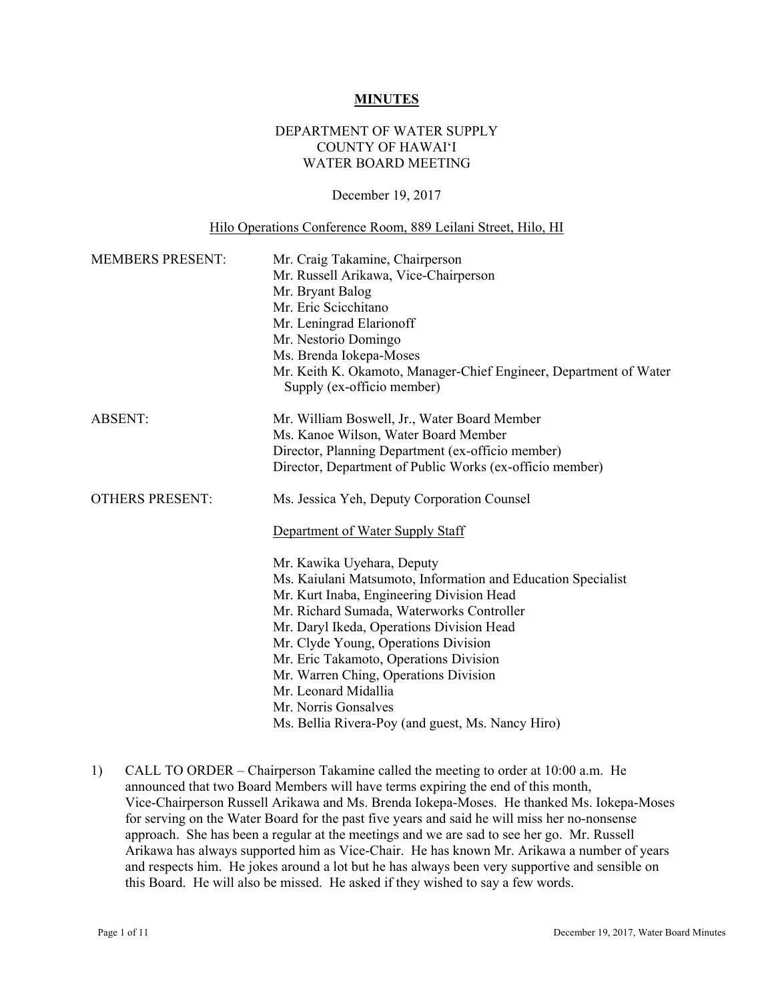#### **MINUTES**

# DEPARTMENT OF WATER SUPPLY COUNTY OF HAWAI'I WATER BOARD MEETING

#### December 19, 2017

#### Hilo Operations Conference Room, 889 Leilani Street, Hilo, HI

| <b>MEMBERS PRESENT:</b> | Mr. Craig Takamine, Chairperson<br>Mr. Russell Arikawa, Vice-Chairperson<br>Mr. Bryant Balog<br>Mr. Eric Scicchitano<br>Mr. Leningrad Elarionoff<br>Mr. Nestorio Domingo<br>Ms. Brenda Iokepa-Moses<br>Mr. Keith K. Okamoto, Manager-Chief Engineer, Department of Water<br>Supply (ex-officio member)                                                                                                                                                            |  |  |
|-------------------------|-------------------------------------------------------------------------------------------------------------------------------------------------------------------------------------------------------------------------------------------------------------------------------------------------------------------------------------------------------------------------------------------------------------------------------------------------------------------|--|--|
| <b>ABSENT:</b>          | Mr. William Boswell, Jr., Water Board Member<br>Ms. Kanoe Wilson, Water Board Member<br>Director, Planning Department (ex-officio member)<br>Director, Department of Public Works (ex-officio member)                                                                                                                                                                                                                                                             |  |  |
| <b>OTHERS PRESENT:</b>  | Ms. Jessica Yeh, Deputy Corporation Counsel<br>Department of Water Supply Staff                                                                                                                                                                                                                                                                                                                                                                                   |  |  |
|                         | Mr. Kawika Uyehara, Deputy<br>Ms. Kaiulani Matsumoto, Information and Education Specialist<br>Mr. Kurt Inaba, Engineering Division Head<br>Mr. Richard Sumada, Waterworks Controller<br>Mr. Daryl Ikeda, Operations Division Head<br>Mr. Clyde Young, Operations Division<br>Mr. Eric Takamoto, Operations Division<br>Mr. Warren Ching, Operations Division<br>Mr. Leonard Midallia<br>Mr. Norris Gonsalves<br>Ms. Bellia Rivera-Poy (and guest, Ms. Nancy Hiro) |  |  |

1) CALL TO ORDER – Chairperson Takamine called the meeting to order at 10:00 a.m. He announced that two Board Members will have terms expiring the end of this month, Vice-Chairperson Russell Arikawa and Ms. Brenda Iokepa-Moses. He thanked Ms. Iokepa-Moses for serving on the Water Board for the past five years and said he will miss her no-nonsense approach. She has been a regular at the meetings and we are sad to see her go. Mr. Russell Arikawa has always supported him as Vice-Chair. He has known Mr. Arikawa a number of years and respects him. He jokes around a lot but he has always been very supportive and sensible on this Board. He will also be missed. He asked if they wished to say a few words.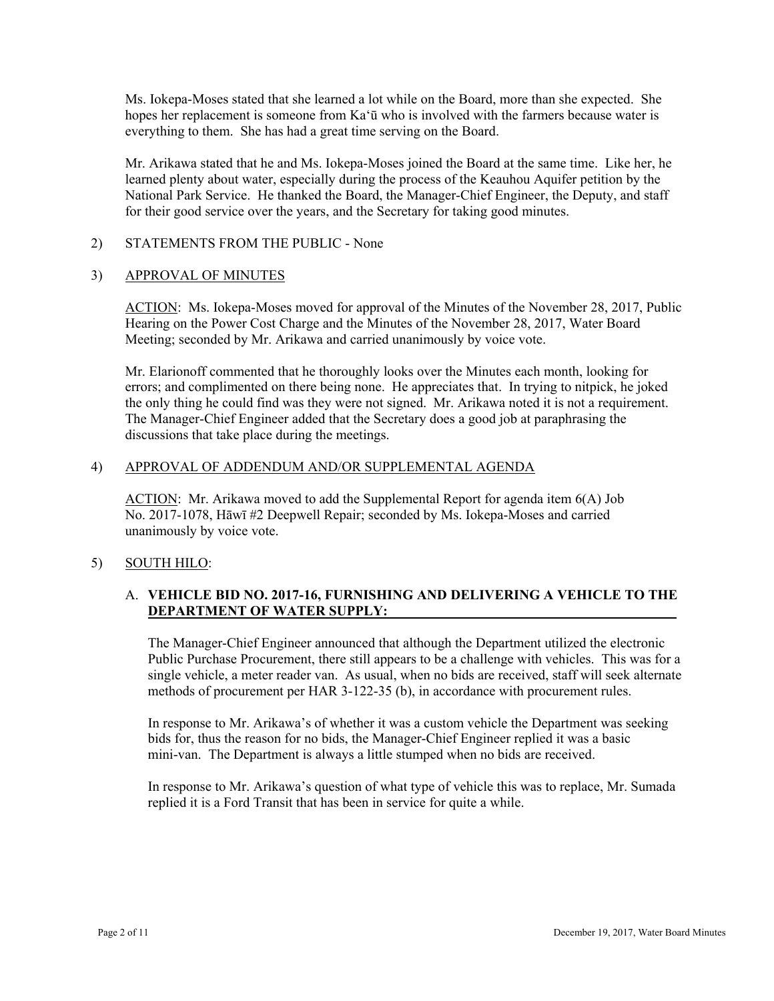Ms. Iokepa-Moses stated that she learned a lot while on the Board, more than she expected. She hopes her replacement is someone from Ka'ū who is involved with the farmers because water is everything to them. She has had a great time serving on the Board.

Mr. Arikawa stated that he and Ms. Iokepa-Moses joined the Board at the same time. Like her, he learned plenty about water, especially during the process of the Keauhou Aquifer petition by the National Park Service. He thanked the Board, the Manager-Chief Engineer, the Deputy, and staff for their good service over the years, and the Secretary for taking good minutes.

2) STATEMENTS FROM THE PUBLIC - None

# **APPROVAL OF MINUTES**

3) APPROVAL OF MINUTES<br>ACTION: Ms. Iokepa-Moses moved for approval of the Minutes of the November 28, 2017, Public Hearing on the Power Cost Charge and the Minutes of the November 28, 2017, Water Board Meeting; seconded by Mr. Arikawa and carried unanimously by voice vote.

Mr. Elarionoff commented that he thoroughly looks over the Minutes each month, looking for errors; and complimented on there being none. He appreciates that. In trying to nitpick, he joked the only thing he could find was they were not signed. Mr. Arikawa noted it is not a requirement. The Manager-Chief Engineer added that the Secretary does a good job at paraphrasing the discussions that take place during the meetings.

#### 4) APPROVAL OF ADDENDUM AND/OR SUPPLEMENTAL AGENDA

ACTION: Mr. Arikawa moved to add the Supplemental Report for agenda item 6(A) Job No. 2017-1078, Hāwī #2 Deepwell Repair; seconded by Ms. Iokepa-Moses and carried unanimously by voice vote.

# 5) SOUTH HILO:

# A. **VEHICLE BID NO. 2017-16, FURNISHING AND DELIVERING A VEHICLE TO THE DEPARTMENT OF WATER SUPPLY:**

The Manager-Chief Engineer announced that although the Department utilized the electronic Public Purchase Procurement, there still appears to be a challenge with vehicles. This was for a single vehicle, a meter reader van. As usual, when no bids are received, staff will seek alternate methods of procurement per HAR 3-122-35 (b), in accordance with procurement rules.

In response to Mr. Arikawa's of whether it was a custom vehicle the Department was seeking bids for, thus the reason for no bids, the Manager-Chief Engineer replied it was a basic mini-van. The Department is always a little stumped when no bids are received.

In response to Mr. Arikawa's question of what type of vehicle this was to replace, Mr. Sumada replied it is a Ford Transit that has been in service for quite a while.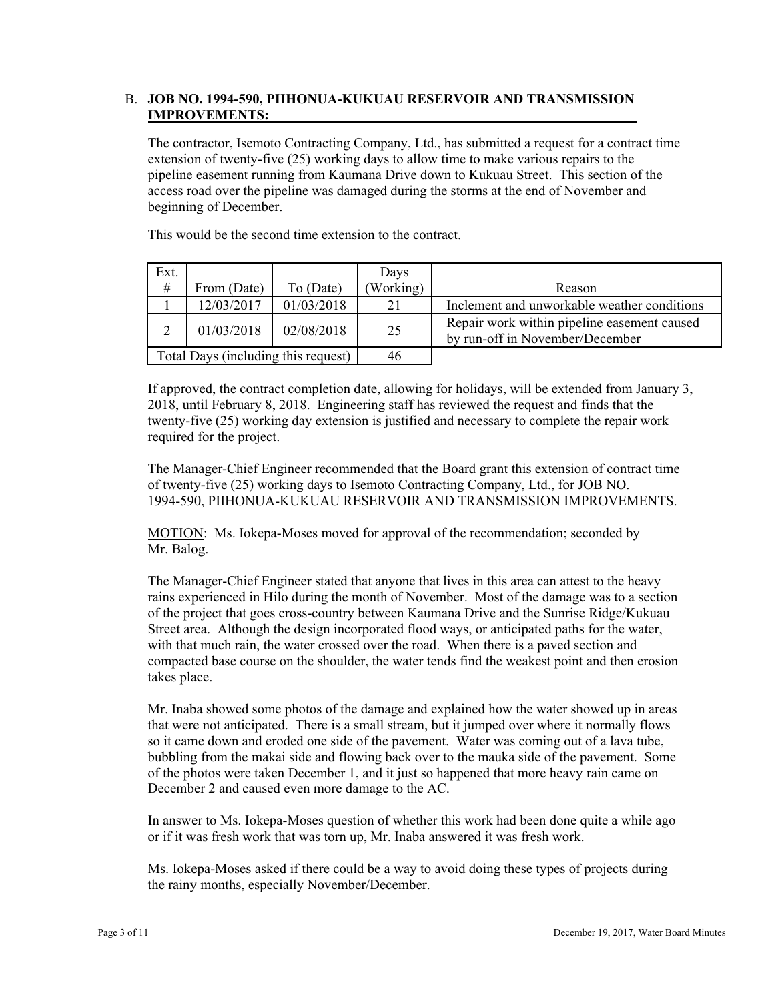# B. **JOB NO. 1994-590, PIIHONUA-KUKUAU RESERVOIR AND TRANSMISSION IMPROVEMENTS:**

The contractor, Isemoto Contracting Company, Ltd., has submitted a request for a contract time extension of twenty-five (25) working days to allow time to make various repairs to the pipeline easement running from Kaumana Drive down to Kukuau Street. This section of the access road over the pipeline was damaged during the storms at the end of November and beginning of December.

This would be the second time extension to the contract.

| Ext.                                |             |            | Days      |                                                                                |
|-------------------------------------|-------------|------------|-----------|--------------------------------------------------------------------------------|
| $\#$                                | From (Date) | To (Date)  | (Working) | Reason                                                                         |
|                                     | 12/03/2017  | 01/03/2018 | 21        | Inclement and unworkable weather conditions                                    |
| ↑                                   | 01/03/2018  | 02/08/2018 | 25        | Repair work within pipeline easement caused<br>by run-off in November/December |
| Total Days (including this request) |             | 46         |           |                                                                                |

If approved, the contract completion date, allowing for holidays, will be extended from January 3, 2018, until February 8, 2018. Engineering staff has reviewed the request and finds that the twenty-five (25) working day extension is justified and necessary to complete the repair work required for the project.

The Manager-Chief Engineer recommended that the Board grant this extension of contract time of twenty-five (25) working days to Isemoto Contracting Company, Ltd., for JOB NO. 1994-590, PIIHONUA-KUKUAU RESERVOIR AND TRANSMISSION IMPROVEMENTS.

MOTION: Ms. Iokepa-Moses moved for approval of the recommendation; seconded by Mr. Balog.

The Manager-Chief Engineer stated that anyone that lives in this area can attest to the heavy rains experienced in Hilo during the month of November. Most of the damage was to a section of the project that goes cross-country between Kaumana Drive and the Sunrise Ridge/Kukuau Street area. Although the design incorporated flood ways, or anticipated paths for the water, with that much rain, the water crossed over the road. When there is a paved section and compacted base course on the shoulder, the water tends find the weakest point and then erosion takes place.

Mr. Inaba showed some photos of the damage and explained how the water showed up in areas that were not anticipated. There is a small stream, but it jumped over where it normally flows so it came down and eroded one side of the pavement. Water was coming out of a lava tube, bubbling from the makai side and flowing back over to the mauka side of the pavement. Some of the photos were taken December 1, and it just so happened that more heavy rain came on December 2 and caused even more damage to the AC.

In answer to Ms. Iokepa-Moses question of whether this work had been done quite a while ago or if it was fresh work that was torn up, Mr. Inaba answered it was fresh work.

Ms. Iokepa-Moses asked if there could be a way to avoid doing these types of projects during the rainy months, especially November/December.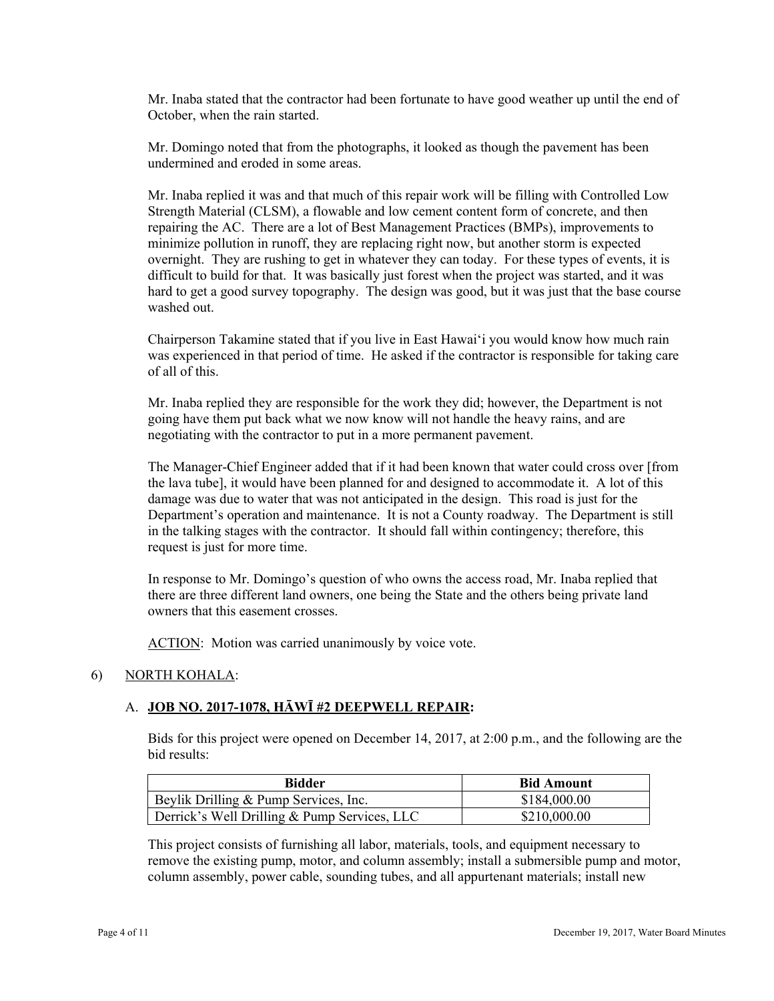Mr. Inaba stated that the contractor had been fortunate to have good weather up until the end of October, when the rain started.

 undermined and eroded in some areas. Mr. Domingo noted that from the photographs, it looked as though the pavement has been

Mr. Inaba replied it was and that much of this repair work will be filling with Controlled Low Strength Material (CLSM), a flowable and low cement content form of concrete, and then repairing the AC. There are a lot of Best Management Practices (BMPs), improvements to minimize pollution in runoff, they are replacing right now, but another storm is expected overnight. They are rushing to get in whatever they can today. For these types of events, it is difficult to build for that. It was basically just forest when the project was started, and it was hard to get a good survey topography. The design was good, but it was just that the base course washed out.

Chairperson Takamine stated that if you live in East Hawai'i you would know how much rain was experienced in that period of time. He asked if the contractor is responsible for taking care of all of this.

Mr. Inaba replied they are responsible for the work they did; however, the Department is not going have them put back what we now know will not handle the heavy rains, and are negotiating with the contractor to put in a more permanent pavement.

The Manager-Chief Engineer added that if it had been known that water could cross over [from the lava tube], it would have been planned for and designed to accommodate it. A lot of this damage was due to water that was not anticipated in the design. This road is just for the Department's operation and maintenance. It is not a County roadway. The Department is still in the talking stages with the contractor. It should fall within contingency; therefore, this request is just for more time.

In response to Mr. Domingo's question of who owns the access road, Mr. Inaba replied that there are three different land owners, one being the State and the others being private land owners that this easement crosses.

ACTION: Motion was carried unanimously by voice vote.

# 6) NORTH KOHALA:

#### A. **JOB NO. 2017-1078, HĀWĪ #2 DEEPWELL REPAIR:**

Bids for this project were opened on December 14, 2017, at 2:00 p.m., and the following are the bid results:

| Bidder                                       | <b>Bid Amount</b> |
|----------------------------------------------|-------------------|
| Beylik Drilling & Pump Services, Inc.        | \$184,000.00      |
| Derrick's Well Drilling & Pump Services, LLC | \$210,000.00      |

This project consists of furnishing all labor, materials, tools, and equipment necessary to remove the existing pump, motor, and column assembly; install a submersible pump and motor, column assembly, power cable, sounding tubes, and all appurtenant materials; install new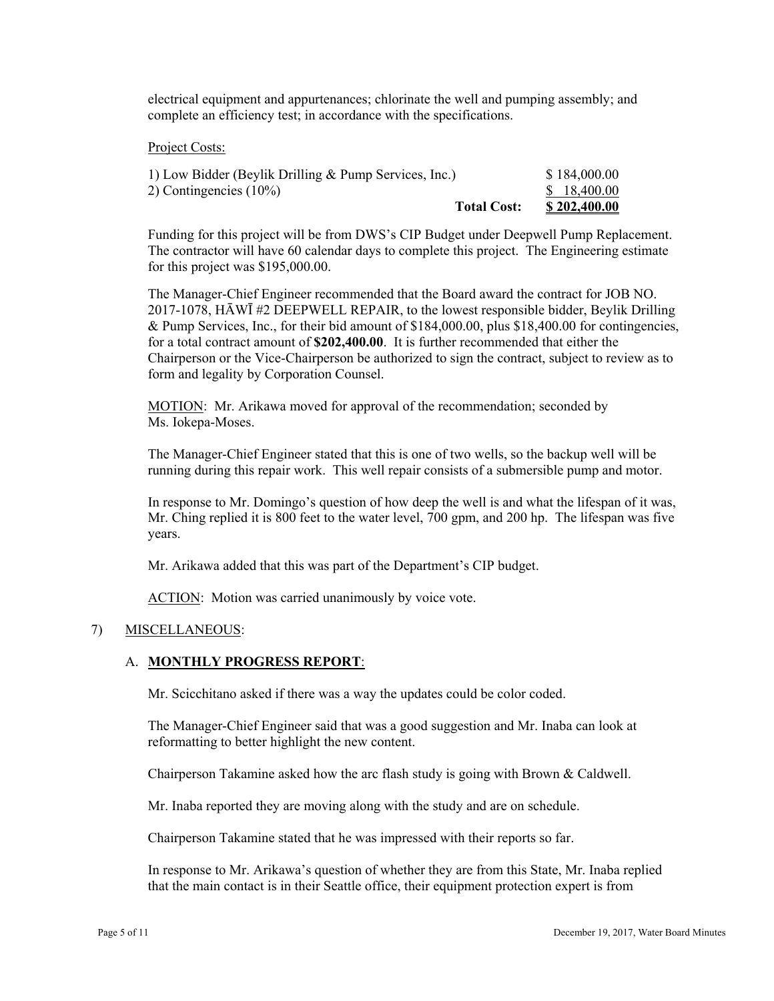electrical equipment and appurtenances; chlorinate the well and pumping assembly; and complete an efficiency test; in accordance with the specifications.

#### Project Costs:

| 1) Low Bidder (Beylik Drilling & Pump Services, Inc.) | \$184,000.00        |
|-------------------------------------------------------|---------------------|
| 2) Contingencies $(10\%)$                             | \$ 18.400.00        |
| <b>Total Cost:</b>                                    | <u>\$202,400.00</u> |

Funding for this project will be from DWS's CIP Budget under Deepwell Pump Replacement. The contractor will have 60 calendar days to complete this project. The Engineering estimate for this project was \$195,000.00.

The Manager-Chief Engineer recommended that the Board award the contract for JOB NO. 2017-1078, HĀWĪ #2 DEEPWELL REPAIR, to the lowest responsible bidder, Beylik Drilling & Pump Services, Inc., for their bid amount of \$184,000.00, plus \$18,400.00 for contingencies, for a total contract amount of **\$202,400.00**. It is further recommended that either the Chairperson or the Vice-Chairperson be authorized to sign the contract, subject to review as to form and legality by Corporation Counsel.

MOTION: Mr. Arikawa moved for approval of the recommendation; seconded by Ms. Iokepa-Moses.

The Manager-Chief Engineer stated that this is one of two wells, so the backup well will be running during this repair work. This well repair consists of a submersible pump and motor.

In response to Mr. Domingo's question of how deep the well is and what the lifespan of it was, Mr. Ching replied it is 800 feet to the water level, 700 gpm, and 200 hp. The lifespan was five years.

Mr. Arikawa added that this was part of the Department's CIP budget.

ACTION: Motion was carried unanimously by voice vote.

# 7) MISCELLANEOUS:

# A. **MONTHLY PROGRESS REPORT**:

Mr. Scicchitano asked if there was a way the updates could be color coded.

The Manager-Chief Engineer said that was a good suggestion and Mr. Inaba can look at reformatting to better highlight the new content.

Chairperson Takamine asked how the arc flash study is going with Brown & Caldwell.

Mr. Inaba reported they are moving along with the study and are on schedule.

Chairperson Takamine stated that he was impressed with their reports so far.

In response to Mr. Arikawa's question of whether they are from this State, Mr. Inaba replied that the main contact is in their Seattle office, their equipment protection expert is from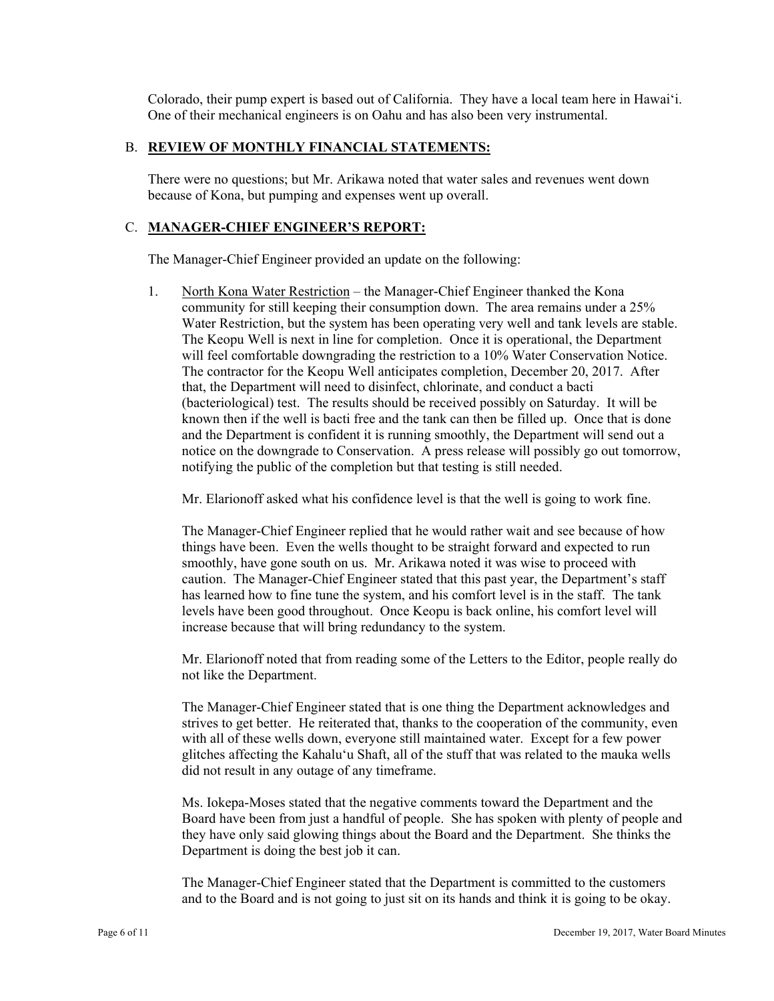Colorado, their pump expert is based out of California. They have a local team here in Hawai'i. One of their mechanical engineers is on Oahu and has also been very instrumental.

#### B. **REVIEW OF MONTHLY FINANCIAL STATEMENTS:**

There were no questions; but Mr. Arikawa noted that water sales and revenues went down because of Kona, but pumping and expenses went up overall.

#### C. **MANAGER-CHIEF ENGINEER'S REPORT:**

The Manager-Chief Engineer provided an update on the following:

1. North Kona Water Restriction – the Manager-Chief Engineer thanked the Kona community for still keeping their consumption down. The area remains under a 25% Water Restriction, but the system has been operating very well and tank levels are stable. The Keopu Well is next in line for completion. Once it is operational, the Department will feel comfortable downgrading the restriction to a 10% Water Conservation Notice. The contractor for the Keopu Well anticipates completion, December 20, 2017. After that, the Department will need to disinfect, chlorinate, and conduct a bacti (bacteriological) test. The results should be received possibly on Saturday. It will be known then if the well is bacti free and the tank can then be filled up. Once that is done and the Department is confident it is running smoothly, the Department will send out a notice on the downgrade to Conservation. A press release will possibly go out tomorrow, notifying the public of the completion but that testing is still needed.

Mr. Elarionoff asked what his confidence level is that the well is going to work fine.

The Manager-Chief Engineer replied that he would rather wait and see because of how things have been. Even the wells thought to be straight forward and expected to run smoothly, have gone south on us. Mr. Arikawa noted it was wise to proceed with caution. The Manager-Chief Engineer stated that this past year, the Department's staff has learned how to fine tune the system, and his comfort level is in the staff. The tank levels have been good throughout. Once Keopu is back online, his comfort level will increase because that will bring redundancy to the system.

Mr. Elarionoff noted that from reading some of the Letters to the Editor, people really do not like the Department.

The Manager-Chief Engineer stated that is one thing the Department acknowledges and strives to get better. He reiterated that, thanks to the cooperation of the community, even with all of these wells down, everyone still maintained water. Except for a few power glitches affecting the Kahalu'u Shaft, all of the stuff that was related to the mauka wells did not result in any outage of any timeframe.

Ms. Iokepa-Moses stated that the negative comments toward the Department and the Board have been from just a handful of people. She has spoken with plenty of people and they have only said glowing things about the Board and the Department. She thinks the Department is doing the best job it can.

The Manager-Chief Engineer stated that the Department is committed to the customers and to the Board and is not going to just sit on its hands and think it is going to be okay.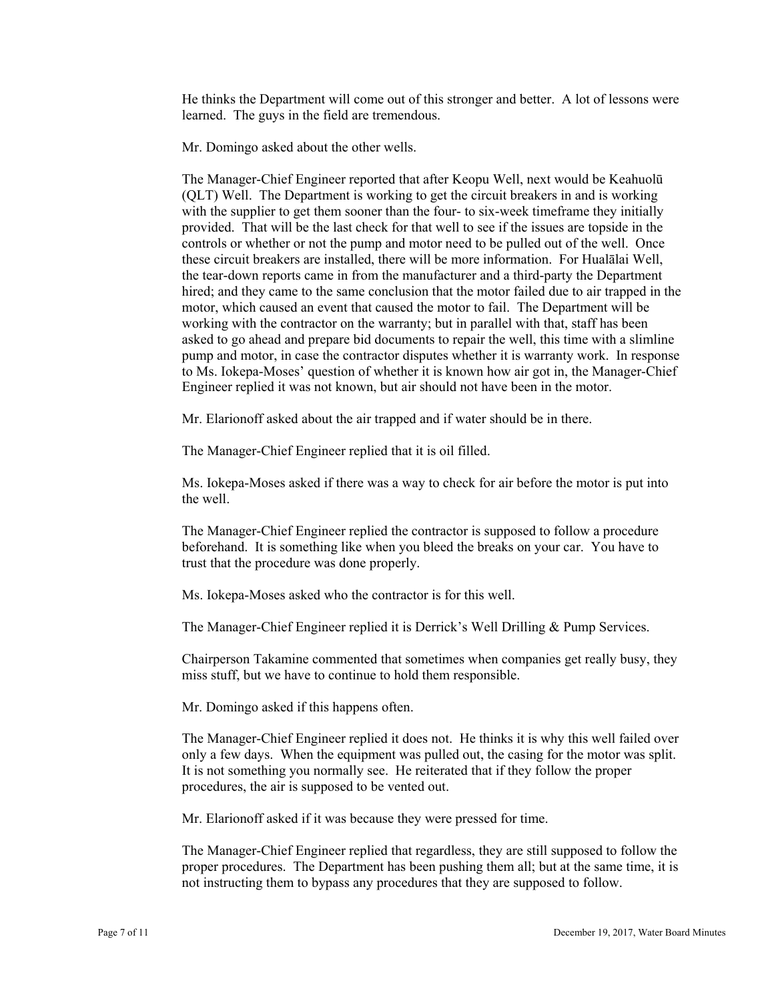He thinks the Department will come out of this stronger and better. A lot of lessons were learned. The guys in the field are tremendous.

Mr. Domingo asked about the other wells.

The Manager-Chief Engineer reported that after Keopu Well, next would be Keahuolū (QLT) Well. The Department is working to get the circuit breakers in and is working with the supplier to get them sooner than the four- to six-week timeframe they initially provided. That will be the last check for that well to see if the issues are topside in the controls or whether or not the pump and motor need to be pulled out of the well. Once these circuit breakers are installed, there will be more information. For Hualālai Well, the tear-down reports came in from the manufacturer and a third-party the Department hired; and they came to the same conclusion that the motor failed due to air trapped in the motor, which caused an event that caused the motor to fail. The Department will be working with the contractor on the warranty; but in parallel with that, staff has been asked to go ahead and prepare bid documents to repair the well, this time with a slimline pump and motor, in case the contractor disputes whether it is warranty work. In response to Ms. Iokepa-Moses' question of whether it is known how air got in, the Manager-Chief Engineer replied it was not known, but air should not have been in the motor.

Mr. Elarionoff asked about the air trapped and if water should be in there.

The Manager-Chief Engineer replied that it is oil filled.

Ms. Iokepa-Moses asked if there was a way to check for air before the motor is put into the well.

The Manager-Chief Engineer replied the contractor is supposed to follow a procedure beforehand. It is something like when you bleed the breaks on your car. You have to trust that the procedure was done properly.

Ms. Iokepa-Moses asked who the contractor is for this well.

The Manager-Chief Engineer replied it is Derrick's Well Drilling & Pump Services.

Chairperson Takamine commented that sometimes when companies get really busy, they miss stuff, but we have to continue to hold them responsible.

Mr. Domingo asked if this happens often.

procedures, the air is supposed to be vented out. The Manager-Chief Engineer replied it does not. He thinks it is why this well failed over only a few days. When the equipment was pulled out, the casing for the motor was split. It is not something you normally see. He reiterated that if they follow the proper

Mr. Elarionoff asked if it was because they were pressed for time.

The Manager-Chief Engineer replied that regardless, they are still supposed to follow the proper procedures. The Department has been pushing them all; but at the same time, it is not instructing them to bypass any procedures that they are supposed to follow.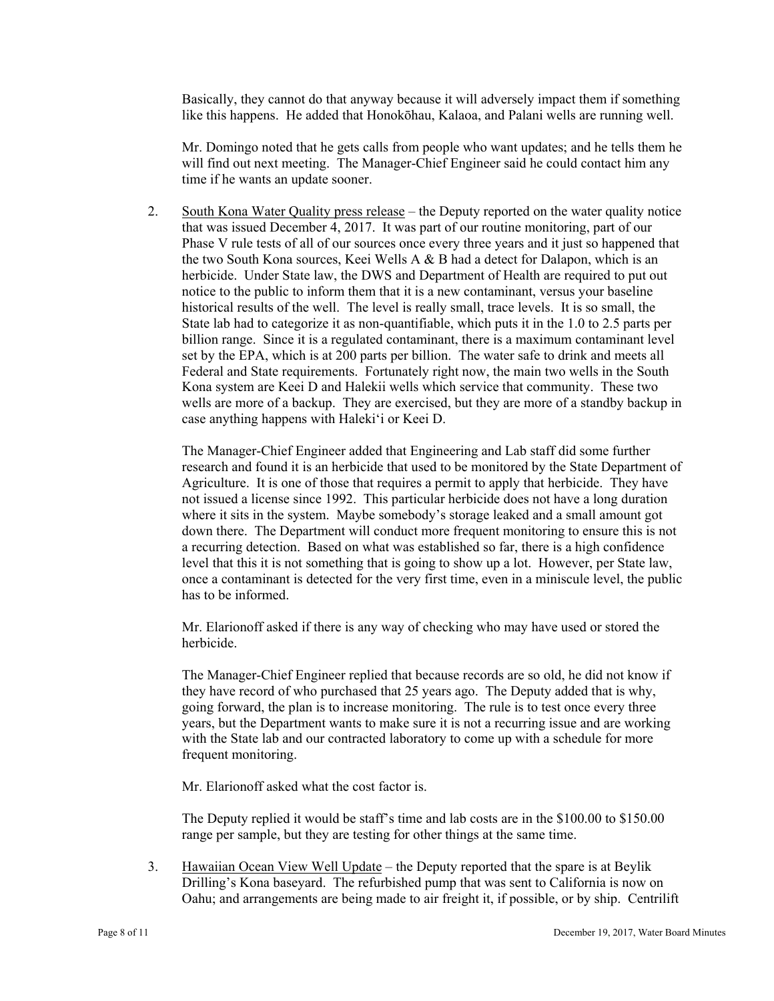Basically, they cannot do that anyway because it will adversely impact them if something like this happens. He added that Honokōhau, Kalaoa, and Palani wells are running well.

 will find out next meeting. The Manager-Chief Engineer said he could contact him any Mr. Domingo noted that he gets calls from people who want updates; and he tells them he time if he wants an update sooner.

2. South Kona Water Quality press release – the Deputy reported on the water quality notice that was issued December 4, 2017. It was part of our routine monitoring, part of our Phase V rule tests of all of our sources once every three years and it just so happened that the two South Kona sources, Keei Wells A & B had a detect for Dalapon, which is an herbicide. Under State law, the DWS and Department of Health are required to put out notice to the public to inform them that it is a new contaminant, versus your baseline historical results of the well. The level is really small, trace levels. It is so small, the State lab had to categorize it as non-quantifiable, which puts it in the 1.0 to 2.5 parts per billion range. Since it is a regulated contaminant, there is a maximum contaminant level set by the EPA, which is at 200 parts per billion. The water safe to drink and meets all Federal and State requirements. Fortunately right now, the main two wells in the South Kona system are Keei D and Halekii wells which service that community. These two wells are more of a backup. They are exercised, but they are more of a standby backup in case anything happens with Haleki'i or Keei D.

The Manager-Chief Engineer added that Engineering and Lab staff did some further research and found it is an herbicide that used to be monitored by the State Department of Agriculture. It is one of those that requires a permit to apply that herbicide. They have not issued a license since 1992. This particular herbicide does not have a long duration where it sits in the system. Maybe somebody's storage leaked and a small amount got down there. The Department will conduct more frequent monitoring to ensure this is not a recurring detection. Based on what was established so far, there is a high confidence level that this it is not something that is going to show up a lot. However, per State law, once a contaminant is detected for the very first time, even in a miniscule level, the public has to be informed.

Mr. Elarionoff asked if there is any way of checking who may have used or stored the herbicide.

The Manager-Chief Engineer replied that because records are so old, he did not know if they have record of who purchased that 25 years ago. The Deputy added that is why, going forward, the plan is to increase monitoring. The rule is to test once every three years, but the Department wants to make sure it is not a recurring issue and are working with the State lab and our contracted laboratory to come up with a schedule for more frequent monitoring.

Mr. Elarionoff asked what the cost factor is.

The Deputy replied it would be staff's time and lab costs are in the \$100.00 to \$150.00 range per sample, but they are testing for other things at the same time.

3. Hawaiian Ocean View Well Update – the Deputy reported that the spare is at Beylik Drilling's Kona baseyard. The refurbished pump that was sent to California is now on Oahu; and arrangements are being made to air freight it, if possible, or by ship. Centrilift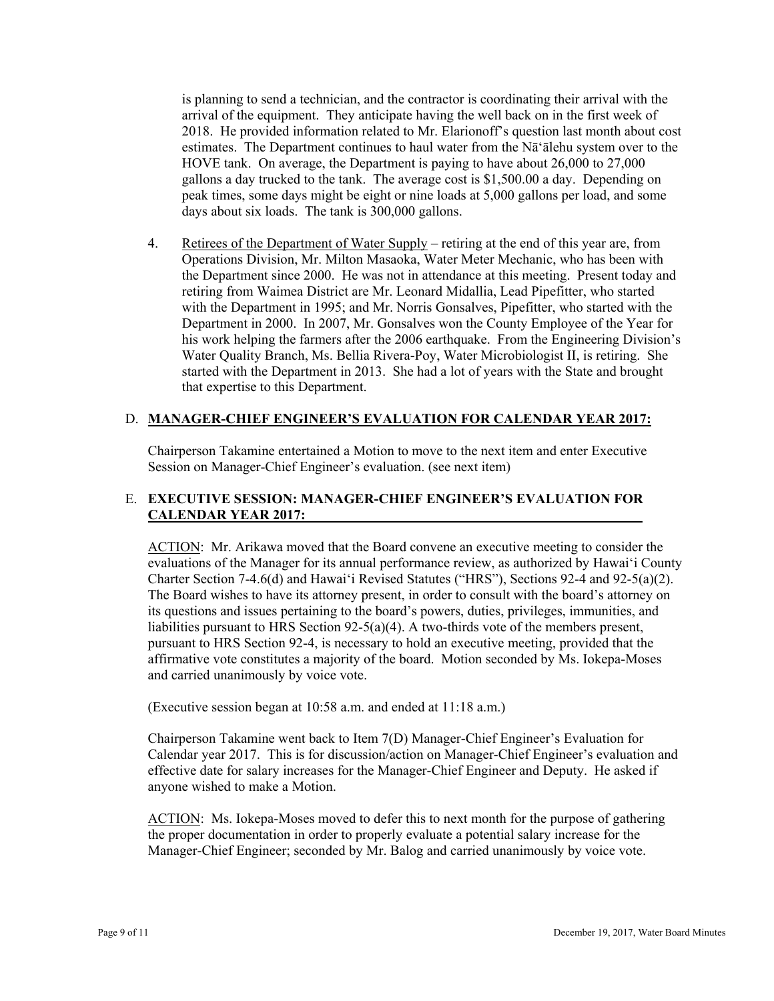is planning to send a technician, and the contractor is coordinating their arrival with the arrival of the equipment. They anticipate having the well back on in the first week of 2018. He provided information related to Mr. Elarionoff's question last month about cost estimates. The Department continues to haul water from the Nā'ālehu system over to the HOVE tank. On average, the Department is paying to have about 26,000 to 27,000 gallons a day trucked to the tank. The average cost is \$1,500.00 a day. Depending on peak times, some days might be eight or nine loads at 5,000 gallons per load, and some days about six loads. The tank is 300,000 gallons.

4. Retirees of the Department of Water Supply – retiring at the end of this year are, from Operations Division, Mr. Milton Masaoka, Water Meter Mechanic, who has been with the Department since 2000. He was not in attendance at this meeting. Present today and retiring from Waimea District are Mr. Leonard Midallia, Lead Pipefitter, who started with the Department in 1995; and Mr. Norris Gonsalves, Pipefitter, who started with the Department in 2000. In 2007, Mr. Gonsalves won the County Employee of the Year for his work helping the farmers after the 2006 earthquake. From the Engineering Division's Water Quality Branch, Ms. Bellia Rivera-Poy, Water Microbiologist II, is retiring. She started with the Department in 2013. She had a lot of years with the State and brought that expertise to this Department.

### D. **MANAGER-CHIEF ENGINEER'S EVALUATION FOR CALENDAR YEAR 2017:**

Chairperson Takamine entertained a Motion to move to the next item and enter Executive Session on Manager-Chief Engineer's evaluation. (see next item)

# E. **EXECUTIVE SESSION: MANAGER-CHIEF ENGINEER'S EVALUATION FOR CALENDAR YEAR 2017:**

ACTION: Mr. Arikawa moved that the Board convene an executive meeting to consider the evaluations of the Manager for its annual performance review, as authorized by Hawai'i County Charter Section 7-4.6(d) and Hawai'i Revised Statutes ("HRS"), Sections 92-4 and 92-5(a)(2). The Board wishes to have its attorney present, in order to consult with the board's attorney on its questions and issues pertaining to the board's powers, duties, privileges, immunities, and liabilities pursuant to HRS Section  $92-5(a)(4)$ . A two-thirds vote of the members present, pursuant to HRS Section 92-4, is necessary to hold an executive meeting, provided that the affirmative vote constitutes a majority of the board. Motion seconded by Ms. Iokepa-Moses and carried unanimously by voice vote.

(Executive session began at 10:58 a.m. and ended at 11:18 a.m.)

 effective date for salary increases for the Manager-Chief Engineer and Deputy. He asked if Chairperson Takamine went back to Item 7(D) Manager-Chief Engineer's Evaluation for Calendar year 2017. This is for discussion/action on Manager-Chief Engineer's evaluation and anyone wished to make a Motion.

 Manager-Chief Engineer; seconded by Mr. Balog and carried unanimously by voice vote. ACTION: Ms. Iokepa-Moses moved to defer this to next month for the purpose of gathering the proper documentation in order to properly evaluate a potential salary increase for the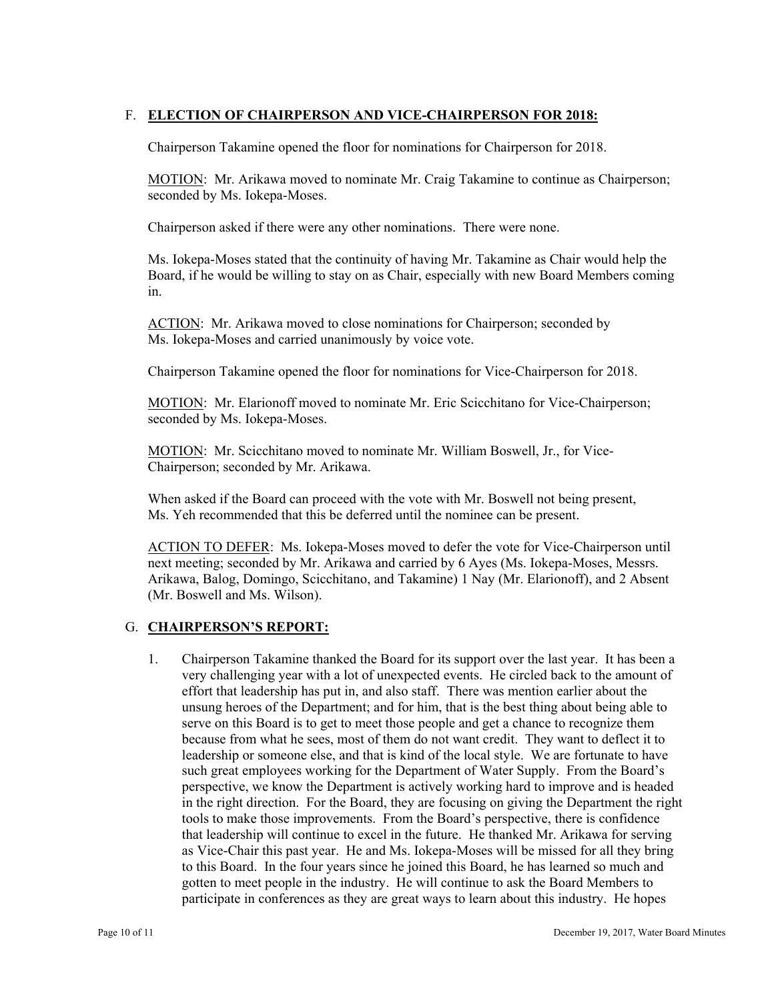# F. **ELECTION OF CHAIRPERSON AND VICE-CHAIRPERSON FOR 2018:**

Chairperson Takamine opened the floor for nominations for Chairperson for 2018.

MOTION: Mr. Arikawa moved to nominate Mr. Craig Takamine to continue as Chairperson; seconded by Ms. Iokepa-Moses.

Chairperson asked if there were any other nominations. There were none.

Ms. Iokepa-Moses stated that the continuity of having Mr. Takamine as Chair would help the Board, if he would be willing to stay on as Chair, especially with new Board Members coming in.

ACTION: Mr. Arikawa moved to close nominations for Chairperson; seconded by Ms. Iokepa-Moses and carried unanimously by voice vote.

Chairperson Takamine opened the floor for nominations for Vice-Chairperson for 2018.

MOTION: Mr. Elarionoff moved to nominate Mr. Eric Scicchitano for Vice-Chairperson; seconded by Ms. Iokepa-Moses.

MOTION: Mr. Scicchitano moved to nominate Mr. William Boswell, Jr., for Vice-Chairperson; seconded by Mr. Arikawa.

When asked if the Board can proceed with the vote with Mr. Boswell not being present, Ms. Yeh recommended that this be deferred until the nominee can be present.

ACTION TO DEFER: Ms. Iokepa-Moses moved to defer the vote for Vice-Chairperson until next meeting; seconded by Mr. Arikawa and carried by 6 Ayes (Ms. Iokepa-Moses, Messrs. Arikawa, Balog, Domingo, Scicchitano, and Takamine) 1 Nay (Mr. Elarionoff), and 2 Absent (Mr. Boswell and Ms. Wilson).

# G. **CHAIRPERSON'S REPORT:**

1. Chairperson Takamine thanked the Board for its support over the last year. It has been a very challenging year with a lot of unexpected events. He circled back to the amount of effort that leadership has put in, and also staff. There was mention earlier about the unsung heroes of the Department; and for him, that is the best thing about being able to serve on this Board is to get to meet those people and get a chance to recognize them because from what he sees, most of them do not want credit. They want to deflect it to leadership or someone else, and that is kind of the local style. We are fortunate to have such great employees working for the Department of Water Supply. From the Board's perspective, we know the Department is actively working hard to improve and is headed in the right direction. For the Board, they are focusing on giving the Department the right tools to make those improvements. From the Board's perspective, there is confidence that leadership will continue to excel in the future. He thanked Mr. Arikawa for serving as Vice-Chair this past year. He and Ms. Iokepa-Moses will be missed for all they bring to this Board. In the four years since he joined this Board, he has learned so much and gotten to meet people in the industry. He will continue to ask the Board Members to participate in conferences as they are great ways to learn about this industry. He hopes